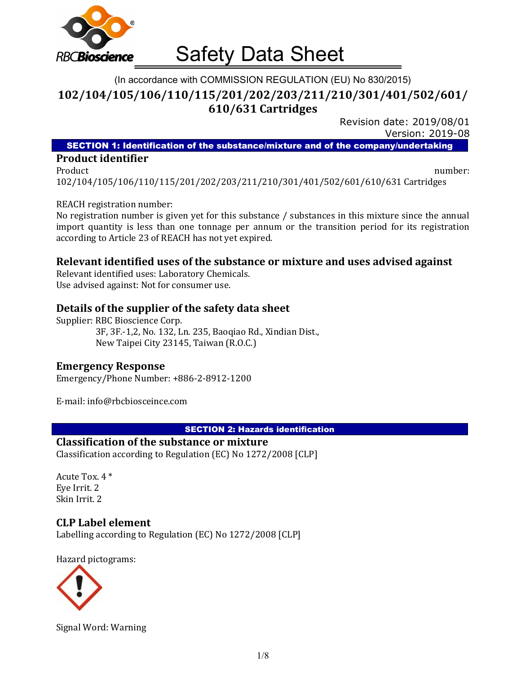

# (In accordance with COMMISSION REGULATION (EU) No 830/2015) 102/104/105/106/110/115/201/202/203/211/210/301/401/502/601/ 610/631 Cartridges

Revision date: 2019/08/01 Version: 2019-08

SECTION 1: Identification of the substance/mixture and of the company/undertaking

#### Product identifier

Product and the contract of the contract of the contract of the contract of the contract of the contract of the contract of the contract of the contract of the contract of the contract of the contract of the contract of th 102/104/105/106/110/115/201/202/203/211/210/301/401/502/601/610/631 Cartridges

#### REACH registration number:

No registration number is given yet for this substance / substances in this mixture since the annual import quantity is less than one tonnage per annum or the transition period for its registration according to Article 23 of REACH has not yet expired.

# Relevant identified uses of the substance or mixture and uses advised against

Relevant identified uses: Laboratory Chemicals. Use advised against: Not for consumer use.

## Details of the supplier of the safety data sheet

Supplier: RBC Bioscience Corp. 3F, 3F.-1,2, No. 132, Ln. 235, Baoqiao Rd., Xindian Dist., New Taipei City 23145, Taiwan (R.O.C.)

# Emergency Response

Emergency/Phone Number: +886-2-8912-1200

E-mail: info@rbcbiosceince.com

#### SECTION 2: Hazards identification

#### Classification of the substance or mixture

Classification according to Regulation (EC) No 1272/2008 [CLP]

Acute Tox. 4 \* Eye Irrit. 2 Skin Irrit. 2

#### CLP Label element

Labelling according to Regulation (EC) No 1272/2008 [CLP]

Hazard pictograms:



Signal Word: Warning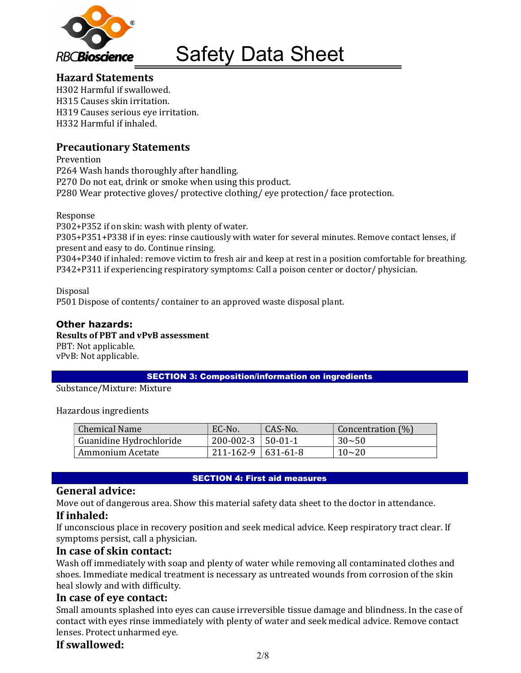

# Hazard Statements

H302 Harmful if swallowed. H315 Causes skin irritation. H319 Causes serious eye irritation. H332 Harmful if inhaled.

# Precautionary Statements

Prevention P264 Wash hands thoroughly after handling. P270 Do not eat, drink or smoke when using this product. P280 Wear protective gloves/ protective clothing/ eye protection/ face protection.

Response

P302+P352 if on skin: wash with plenty of water. P305+P351+P338 if in eyes: rinse cautiously with water for several minutes. Remove contact lenses, if present and easy to do. Continue rinsing.

P304+P340 if inhaled: remove victim to fresh air and keep at rest in a position comfortable for breathing. P342+P311 if experiencing respiratory symptoms: Call a poison center or doctor/ physician.

Disposal

P501 Dispose of contents/ container to an approved waste disposal plant.

# Other hazards:

Results of PBT and vPvB assessment

PBT: Not applicable. vPvB: Not applicable.

SECTION 3: Composition/information on ingredients

Substance/Mixture: Mixture

Hazardous ingredients

| Chemical Name           | EC-No.                   | CAS-No.       | Concentration (%) |
|-------------------------|--------------------------|---------------|-------------------|
| Guanidine Hydrochloride | 200-002-3                | $\pm$ 50-01-1 | $30 - 50$         |
| Ammonium Acetate        | $211 - 162 - 9$ 631-61-8 |               | $10 - 20$         |

#### SECTION 4: First aid measures

# General advice:

Move out of dangerous area. Show this material safety data sheet to the doctor in attendance. If inhaled:

If unconscious place in recovery position and seek medical advice. Keep respiratory tract clear. If symptoms persist, call a physician.

# In case of skin contact:

Wash off immediately with soap and plenty of water while removing all contaminated clothes and shoes. Immediate medical treatment is necessary as untreated wounds from corrosion of the skin heal slowly and with difficulty.

# In case of eye contact:

Small amounts splashed into eyes can cause irreversible tissue damage and blindness. In the case of contact with eyes rinse immediately with plenty of water and seek medical advice. Remove contact lenses. Protect unharmed eye.

# If swallowed: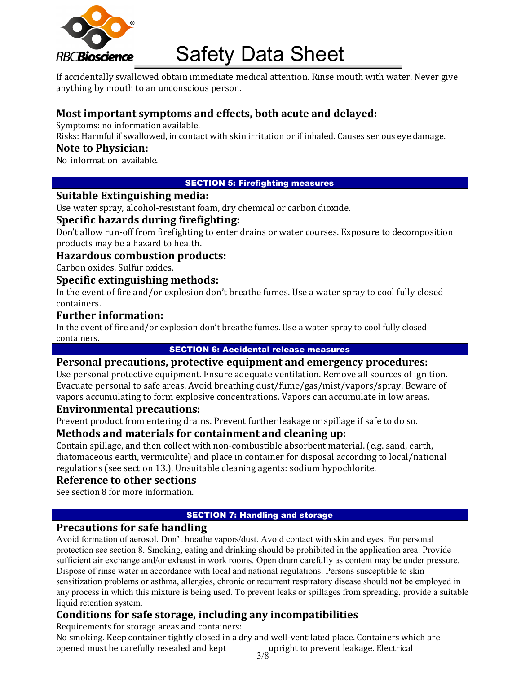

If accidentally swallowed obtain immediate medical attention. Rinse mouth with water. Never give anything by mouth to an unconscious person.

# Most important symptoms and effects, both acute and delayed:

Symptoms: no information available.

Risks: Harmful if swallowed, in contact with skin irritation or if inhaled. Causes serious eye damage.

## Note to Physician:

No information available.

## SECTION 5: Firefighting measures

## Suitable Extinguishing media:

Use water spray, alcohol-resistant foam, dry chemical or carbon dioxide.

## Specific hazards during firefighting:

Don't allow run-off from firefighting to enter drains or water courses. Exposure to decomposition products may be a hazard to health.

# Hazardous combustion products:

Carbon oxides. Sulfur oxides.

#### Specific extinguishing methods:

In the event of fire and/or explosion don't breathe fumes. Use a water spray to cool fully closed containers.

## Further information:

In the event of fire and/or explosion don't breathe fumes. Use a water spray to cool fully closed containers.

## SECTION 6: Accidental release measures

## Personal precautions, protective equipment and emergency procedures:

Use personal protective equipment. Ensure adequate ventilation. Remove all sources of ignition. Evacuate personal to safe areas. Avoid breathing dust/fume/gas/mist/vapors/spray. Beware of vapors accumulating to form explosive concentrations. Vapors can accumulate in low areas.

### Environmental precautions:

Prevent product from entering drains. Prevent further leakage or spillage if safe to do so.

# Methods and materials for containment and cleaning up:

Contain spillage, and then collect with non-combustible absorbent material. (e.g. sand, earth, diatomaceous earth, vermiculite) and place in container for disposal according to local/national regulations (see section 13.). Unsuitable cleaning agents: sodium hypochlorite.

# Reference to other sections

See section 8 for more information.

#### SECTION 7: Handling and storage

# Precautions for safe handling

Avoid formation of aerosol. Don't breathe vapors/dust. Avoid contact with skin and eyes. For personal protection see section 8. Smoking, eating and drinking should be prohibited in the application area. Provide sufficient air exchange and/or exhaust in work rooms. Open drum carefully as content may be under pressure. Dispose of rinse water in accordance with local and national regulations. Persons susceptible to skin sensitization problems or asthma, allergies, chronic or recurrent respiratory disease should not be employed in any process in which this mixture is being used. To prevent leaks or spillages from spreading, provide a suitable liquid retention system.

# Conditions for safe storage, including any incompatibilities

Requirements for storage areas and containers: No smoking. Keep container tightly closed in a dry and well-ventilated place. Containers which are opened must be carefully resealed and kept upright to prevent leakage. Electrical

3/8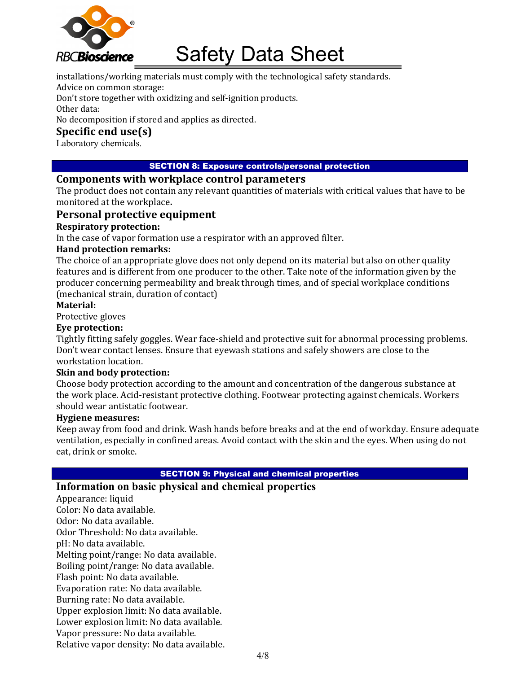

installations/working materials must comply with the technological safety standards.

Advice on common storage:

Don't store together with oxidizing and self-ignition products.

Other data:

No decomposition if stored and applies as directed.

# Specific end use(s)

Laboratory chemicals.

#### SECTION 8: Exposure controls/personal protection

## Components with workplace control parameters

The product does not contain any relevant quantities of materials with critical values that have to be monitored at the workplace.

# Personal protective equipment

## Respiratory protection:

In the case of vapor formation use a respirator with an approved filter.

#### Hand protection remarks:

The choice of an appropriate glove does not only depend on its material but also on other quality features and is different from one producer to the other. Take note of the information given by the producer concerning permeability and break through times, and of special workplace conditions (mechanical strain, duration of contact)

#### Material:

Protective gloves

# Eye protection:

Tightly fitting safely goggles. Wear face-shield and protective suit for abnormal processing problems. Don't wear contact lenses. Ensure that eyewash stations and safely showers are close to the workstation location.

#### Skin and body protection:

Choose body protection according to the amount and concentration of the dangerous substance at the work place. Acid-resistant protective clothing. Footwear protecting against chemicals. Workers should wear antistatic footwear.

#### Hygiene measures:

Keep away from food and drink. Wash hands before breaks and at the end of workday. Ensure adequate ventilation, especially in confined areas. Avoid contact with the skin and the eyes. When using do not eat, drink or smoke.

#### SECTION 9: Physical and chemical properties

# Information on basic physical and chemical properties

Appearance: liquid Color: No data available. Odor: No data available. Odor Threshold: No data available. pH: No data available. Melting point/range: No data available. Boiling point/range: No data available. Flash point: No data available. Evaporation rate: No data available. Burning rate: No data available. Upper explosion limit: No data available. Lower explosion limit: No data available. Vapor pressure: No data available. Relative vapor density: No data available.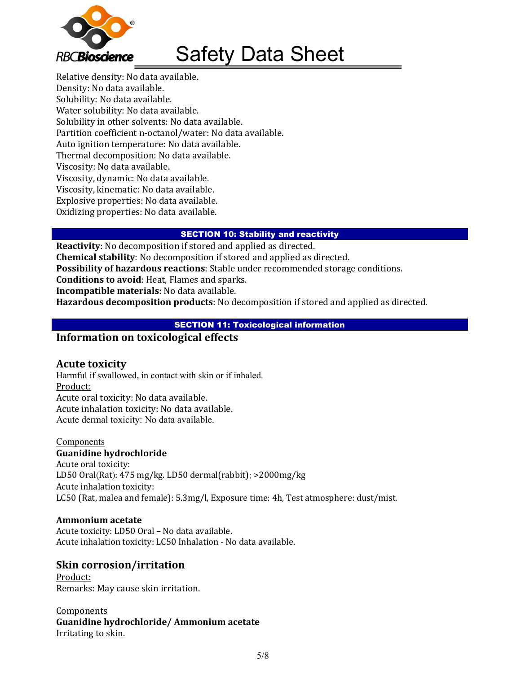

Relative density: No data available. Density: No data available. Solubility: No data available. Water solubility: No data available. Solubility in other solvents: No data available. Partition coefficient n-octanol/water: No data available. Auto ignition temperature: No data available. Thermal decomposition: No data available. Viscosity: No data available. Viscosity, dynamic: No data available. Viscosity, kinematic: No data available. Explosive properties: No data available. Oxidizing properties: No data available.

#### SECTION 10: Stability and reactivity

Reactivity: No decomposition if stored and applied as directed. Chemical stability: No decomposition if stored and applied as directed. Possibility of hazardous reactions: Stable under recommended storage conditions. Conditions to avoid: Heat, Flames and sparks. Incompatible materials: No data available. Hazardous decomposition products: No decomposition if stored and applied as directed.

## **SECTION 11: Toxicological information**

## Information on toxicological effects

#### Acute toxicity

Harmful if swallowed, in contact with skin or if inhaled. Product: Acute oral toxicity: No data available. Acute inhalation toxicity: No data available. Acute dermal toxicity: No data available.

#### Components

#### Guanidine hydrochloride

Acute oral toxicity: LD50 Oral(Rat): 475 mg/kg. LD50 dermal(rabbit): >2000mg/kg Acute inhalation toxicity: LC50 (Rat, malea and female): 5.3mg/l, Exposure time: 4h, Test atmosphere: dust/mist.

#### Ammonium acetate

Acute toxicity: LD50 Oral – No data available. Acute inhalation toxicity: LC50 Inhalation - No data available.

# Skin corrosion/irritation

Product: Remarks: May cause skin irritation.

**Components** Guanidine hydrochloride/ Ammonium acetate Irritating to skin.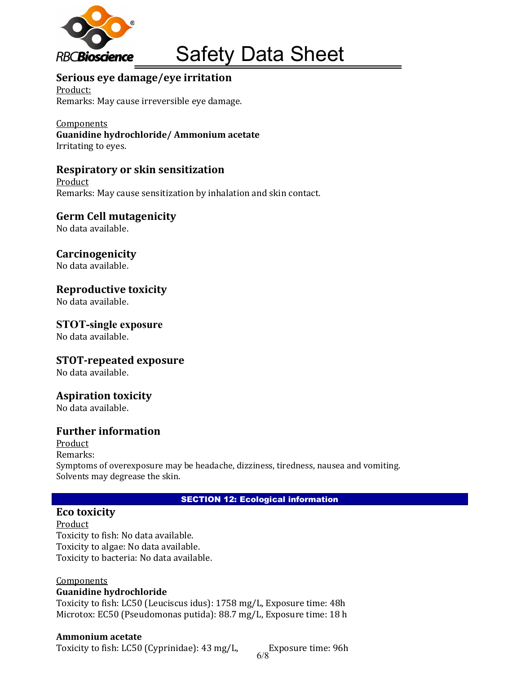

# Serious eye damage/eye irritation

Product: Remarks: May cause irreversible eye damage.

#### Components Guanidine hydrochloride/ Ammonium acetate Irritating to eyes.

# Respiratory or skin sensitization

Product Remarks: May cause sensitization by inhalation and skin contact.

Germ Cell mutagenicity

No data available.

**Carcinogenicity** 

No data available.

## Reproductive toxicity

No data available.

# STOT-single exposure

No data available.

# STOT-repeated exposure

No data available.

# Aspiration toxicity

No data available.

# Further information

Product Remarks: Symptoms of overexposure may be headache, dizziness, tiredness, nausea and vomiting. Solvents may degrease the skin.

#### SECTION 12: Ecological information

# Eco toxicity

Product Toxicity to fish: No data available. Toxicity to algae: No data available. Toxicity to bacteria: No data available.

#### Components

#### Guanidine hydrochloride

Toxicity to fish: LC50 (Leuciscus idus): 1758 mg/L, Exposure time: 48h Microtox: EC50 (Pseudomonas putida): 88.7 mg/L, Exposure time: 18 h

#### Ammonium acetate

Toxicity to fish: LC50 (Cyprinidae): 43 mg/L,

Exposure time: 96h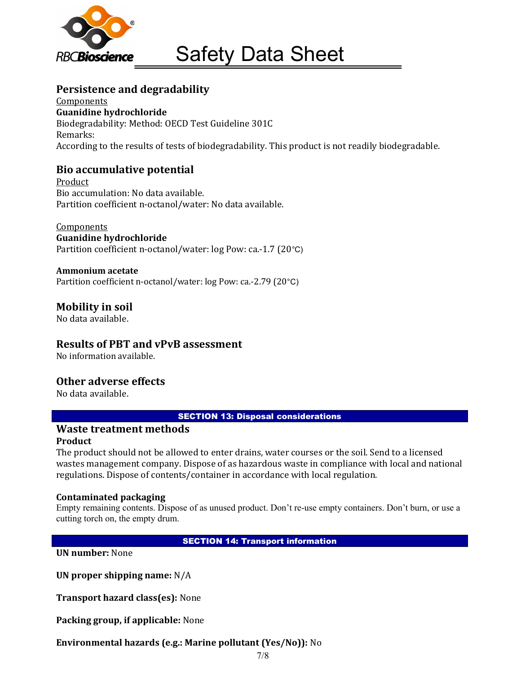

# Persistence and degradability

**Components** Guanidine hydrochloride Biodegradability: Method: OECD Test Guideline 301C Remarks: According to the results of tests of biodegradability. This product is not readily biodegradable.

# Bio accumulative potential

Product Bio accumulation: No data available. Partition coefficient n-octanol/water: No data available.

# **Components**

Guanidine hydrochloride Partition coefficient n-octanol/water: log Pow: ca.-1.7 (20°C)

#### Ammonium acetate

Partition coefficient n-octanol/water: log Pow: ca.-2.79 (20°C)

# Mobility in soil

No data available.

# Results of PBT and vPvB assessment

No information available.

# Other adverse effects

No data available.

#### SECTION 13: Disposal considerations

#### Waste treatment methods Product

The product should not be allowed to enter drains, water courses or the soil. Send to a licensed wastes management company. Dispose of as hazardous waste in compliance with local and national regulations. Dispose of contents/container in accordance with local regulation.

#### Contaminated packaging

Empty remaining contents. Dispose of as unused product. Don't re-use empty containers. Don't burn, or use a cutting torch on, the empty drum.

#### SECTION 14: Transport information

UN number: None

UN proper shipping name: N/A

Transport hazard class(es): None

Packing group, if applicable: None

Environmental hazards (e.g.: Marine pollutant (Yes/No)): No